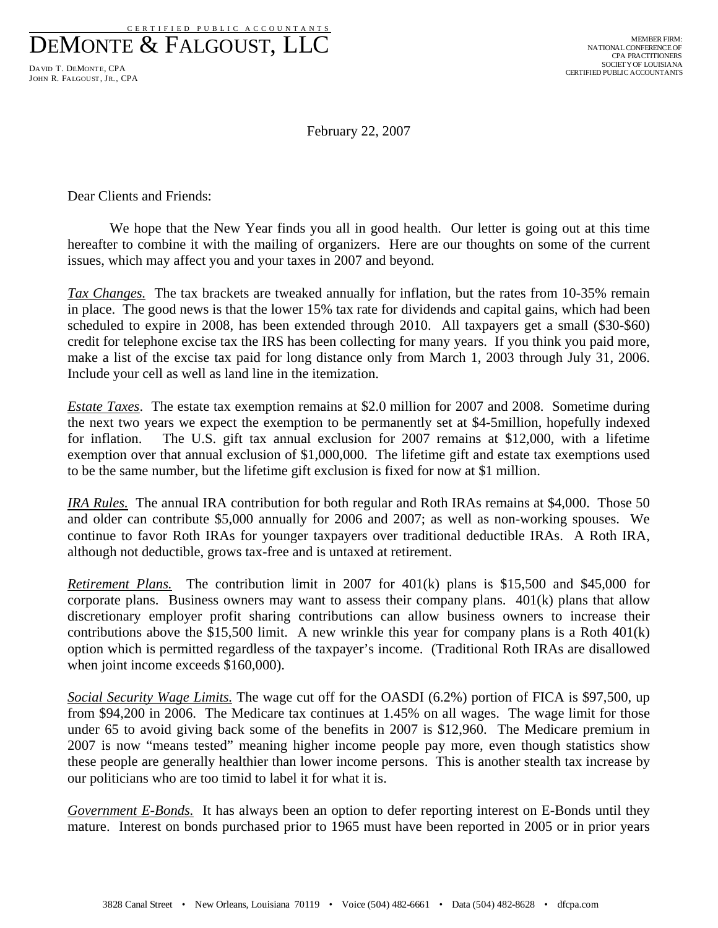CERT IFIED PUBLIC ACCOUNTANTS

DEMONTE & FALGOUST, LLC

DAVID T. DEMONTE, CPA JOHN R. FALGOUST, JR., CPA

February 22, 2007

Dear Clients and Friends:

 We hope that the New Year finds you all in good health. Our letter is going out at this time hereafter to combine it with the mailing of organizers. Here are our thoughts on some of the current issues, which may affect you and your taxes in 2007 and beyond.

*Tax Changes.* The tax brackets are tweaked annually for inflation, but the rates from 10-35% remain in place. The good news is that the lower 15% tax rate for dividends and capital gains, which had been scheduled to expire in 2008, has been extended through 2010. All taxpayers get a small (\$30-\$60) credit for telephone excise tax the IRS has been collecting for many years. If you think you paid more, make a list of the excise tax paid for long distance only from March 1, 2003 through July 31, 2006. Include your cell as well as land line in the itemization.

*Estate Taxes*. The estate tax exemption remains at \$2.0 million for 2007 and 2008. Sometime during the next two years we expect the exemption to be permanently set at \$4-5million, hopefully indexed for inflation. The U.S. gift tax annual exclusion for 2007 remains at \$12,000, with a lifetime exemption over that annual exclusion of \$1,000,000. The lifetime gift and estate tax exemptions used to be the same number, but the lifetime gift exclusion is fixed for now at \$1 million.

*IRA Rules.* The annual IRA contribution for both regular and Roth IRAs remains at \$4,000. Those 50 and older can contribute \$5,000 annually for 2006 and 2007; as well as non-working spouses. We continue to favor Roth IRAs for younger taxpayers over traditional deductible IRAs. A Roth IRA, although not deductible, grows tax-free and is untaxed at retirement.

*Retirement Plans.* The contribution limit in 2007 for 401(k) plans is \$15,500 and \$45,000 for corporate plans. Business owners may want to assess their company plans. 401(k) plans that allow discretionary employer profit sharing contributions can allow business owners to increase their contributions above the \$15,500 limit. A new wrinkle this year for company plans is a Roth  $401(k)$ option which is permitted regardless of the taxpayer's income. (Traditional Roth IRAs are disallowed when joint income exceeds \$160,000).

*Social Security Wage Limits.* The wage cut off for the OASDI (6.2%) portion of FICA is \$97,500, up from \$94,200 in 2006. The Medicare tax continues at 1.45% on all wages. The wage limit for those under 65 to avoid giving back some of the benefits in 2007 is \$12,960. The Medicare premium in 2007 is now "means tested" meaning higher income people pay more, even though statistics show these people are generally healthier than lower income persons. This is another stealth tax increase by our politicians who are too timid to label it for what it is.

*Government E-Bonds.* It has always been an option to defer reporting interest on E-Bonds until they mature. Interest on bonds purchased prior to 1965 must have been reported in 2005 or in prior years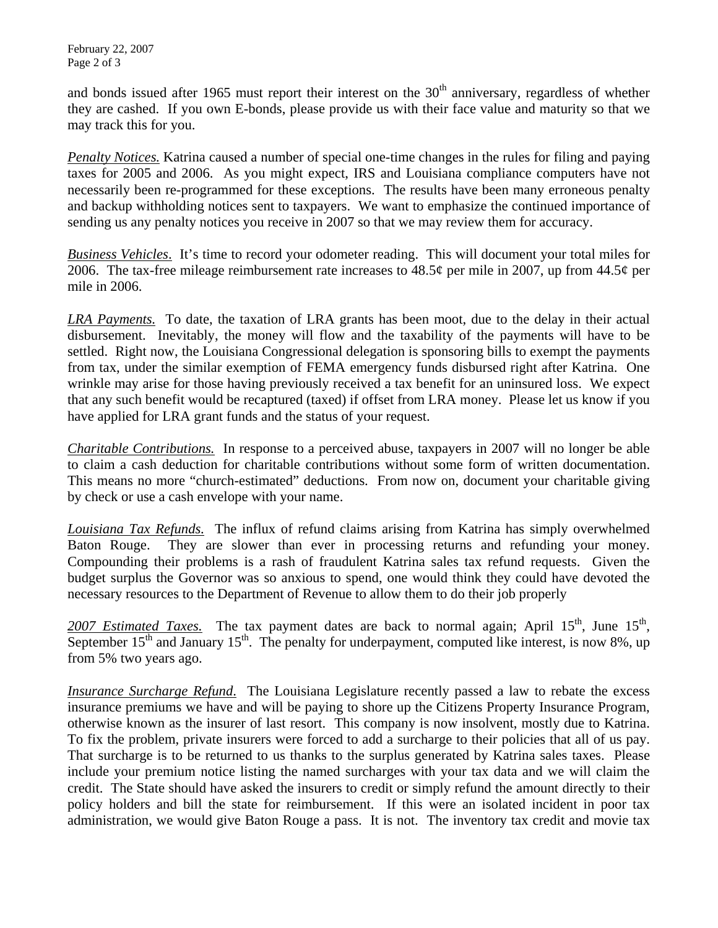February 22, 2007 Page 2 of 3

and bonds issued after 1965 must report their interest on the 30<sup>th</sup> anniversary, regardless of whether they are cashed. If you own E-bonds, please provide us with their face value and maturity so that we may track this for you.

*Penalty Notices.* Katrina caused a number of special one-time changes in the rules for filing and paying taxes for 2005 and 2006. As you might expect, IRS and Louisiana compliance computers have not necessarily been re-programmed for these exceptions. The results have been many erroneous penalty and backup withholding notices sent to taxpayers. We want to emphasize the continued importance of sending us any penalty notices you receive in 2007 so that we may review them for accuracy.

*Business Vehicles*. It's time to record your odometer reading. This will document your total miles for 2006. The tax-free mileage reimbursement rate increases to  $48.5\phi$  per mile in 2007, up from  $44.5\phi$  per mile in 2006.

*LRA Payments.* To date, the taxation of LRA grants has been moot, due to the delay in their actual disbursement. Inevitably, the money will flow and the taxability of the payments will have to be settled. Right now, the Louisiana Congressional delegation is sponsoring bills to exempt the payments from tax, under the similar exemption of FEMA emergency funds disbursed right after Katrina. One wrinkle may arise for those having previously received a tax benefit for an uninsured loss. We expect that any such benefit would be recaptured (taxed) if offset from LRA money. Please let us know if you have applied for LRA grant funds and the status of your request.

*Charitable Contributions.* In response to a perceived abuse, taxpayers in 2007 will no longer be able to claim a cash deduction for charitable contributions without some form of written documentation. This means no more "church-estimated" deductions. From now on, document your charitable giving by check or use a cash envelope with your name.

*Louisiana Tax Refunds.* The influx of refund claims arising from Katrina has simply overwhelmed Baton Rouge. They are slower than ever in processing returns and refunding your money. Compounding their problems is a rash of fraudulent Katrina sales tax refund requests. Given the budget surplus the Governor was so anxious to spend, one would think they could have devoted the necessary resources to the Department of Revenue to allow them to do their job properly

2007 Estimated Taxes. The tax payment dates are back to normal again; April 15<sup>th</sup>, June 15<sup>th</sup>, September  $15<sup>th</sup>$  and January  $15<sup>th</sup>$ . The penalty for underpayment, computed like interest, is now 8%, up from 5% two years ago.

*Insurance Surcharge Refund*. The Louisiana Legislature recently passed a law to rebate the excess insurance premiums we have and will be paying to shore up the Citizens Property Insurance Program, otherwise known as the insurer of last resort. This company is now insolvent, mostly due to Katrina. To fix the problem, private insurers were forced to add a surcharge to their policies that all of us pay. That surcharge is to be returned to us thanks to the surplus generated by Katrina sales taxes. Please include your premium notice listing the named surcharges with your tax data and we will claim the credit. The State should have asked the insurers to credit or simply refund the amount directly to their policy holders and bill the state for reimbursement. If this were an isolated incident in poor tax administration, we would give Baton Rouge a pass. It is not. The inventory tax credit and movie tax